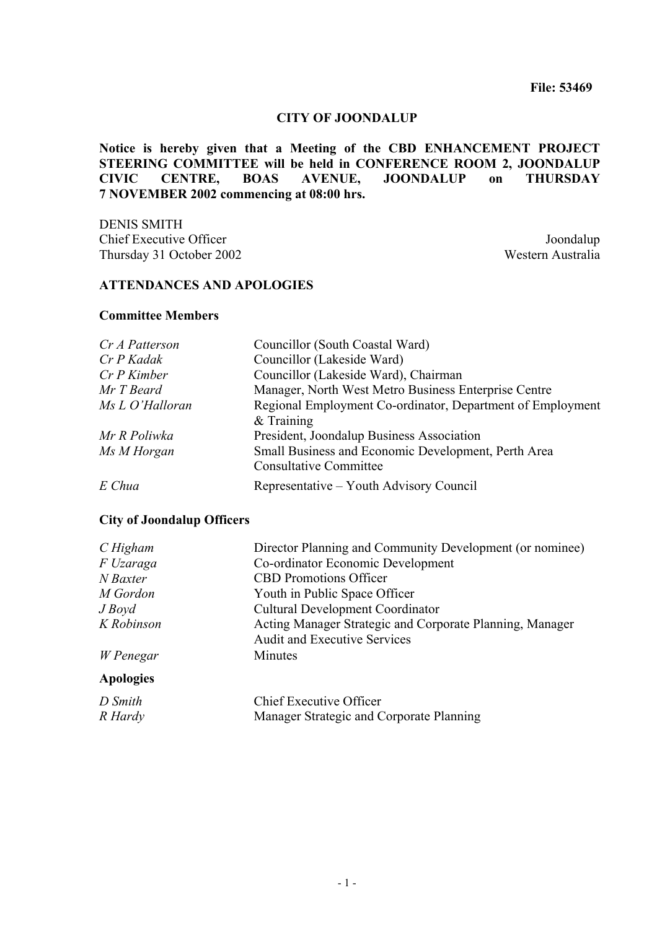#### **CITY OF JOONDALUP**

**Notice is hereby given that a Meeting of the CBD ENHANCEMENT PROJECT STEERING COMMITTEE will be held in CONFERENCE ROOM 2, JOONDALUP CIVIC CENTRE. BOAS AVENUE. JOONDALUP on THURSDAY CIVIC CENTRE, BOAS AVENUE, JOONDALUP on 7 NOVEMBER 2002 commencing at 08:00 hrs.** 

DENIS SMITH **Chief Executive Officer** Joondalup Thursday 31 October 2002 Western Australia

## **ATTENDANCES AND APOLOGIES**

#### **Committee Members**

| Cr A Patterson  | Councillor (South Coastal Ward)                            |  |
|-----------------|------------------------------------------------------------|--|
| Cr P Kadak      | Councillor (Lakeside Ward)                                 |  |
| $Cr P$ Kimber   | Councillor (Lakeside Ward), Chairman                       |  |
| Mr T Beard      | Manager, North West Metro Business Enterprise Centre       |  |
| Ms L O'Halloran | Regional Employment Co-ordinator, Department of Employment |  |
|                 | $&$ Training                                               |  |
| Mr R Poliwka    | President, Joondalup Business Association                  |  |
| Ms M Horgan     | Small Business and Economic Development, Perth Area        |  |
|                 | <b>Consultative Committee</b>                              |  |
| E Chua          | Representative – Youth Advisory Council                    |  |

#### **City of Joondalup Officers**

| $C$ Higham       | Director Planning and Community Development (or nominee)                                        |  |
|------------------|-------------------------------------------------------------------------------------------------|--|
| F Uzaraga        | Co-ordinator Economic Development                                                               |  |
| N Baxter         | <b>CBD</b> Promotions Officer                                                                   |  |
| M Gordon         | Youth in Public Space Officer                                                                   |  |
| $J$ Boyd         | <b>Cultural Development Coordinator</b>                                                         |  |
| K Robinson       | Acting Manager Strategic and Corporate Planning, Manager<br><b>Audit and Executive Services</b> |  |
| W Penegar        | Minutes                                                                                         |  |
| <b>Apologies</b> |                                                                                                 |  |
| D Smith          | <b>Chief Executive Officer</b>                                                                  |  |
| R Hardy          | Manager Strategic and Corporate Planning                                                        |  |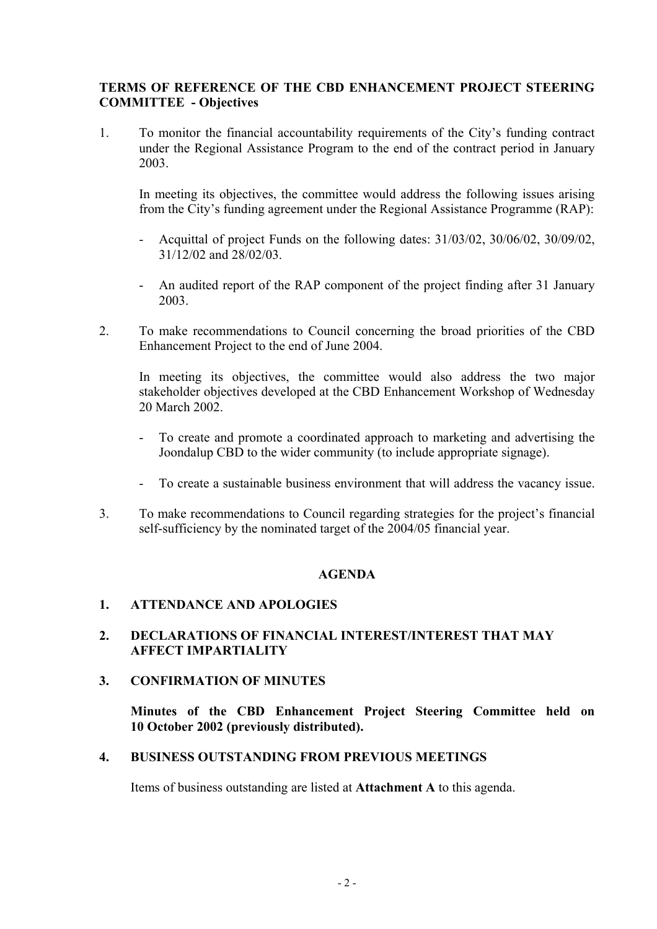# **TERMS OF REFERENCE OF THE CBD ENHANCEMENT PROJECT STEERING COMMITTEE - Objectives**

1. To monitor the financial accountability requirements of the City's funding contract under the Regional Assistance Program to the end of the contract period in January 2003.

In meeting its objectives, the committee would address the following issues arising from the City's funding agreement under the Regional Assistance Programme (RAP):

- Acquittal of project Funds on the following dates: 31/03/02, 30/06/02, 30/09/02, 31/12/02 and 28/02/03.
- An audited report of the RAP component of the project finding after 31 January 2003.
- 2. To make recommendations to Council concerning the broad priorities of the CBD Enhancement Project to the end of June 2004.

 In meeting its objectives, the committee would also address the two major stakeholder objectives developed at the CBD Enhancement Workshop of Wednesday 20 March 2002.

- To create and promote a coordinated approach to marketing and advertising the Joondalup CBD to the wider community (to include appropriate signage).
- To create a sustainable business environment that will address the vacancy issue.
- 3. To make recommendations to Council regarding strategies for the project's financial self-sufficiency by the nominated target of the 2004/05 financial year.

# **AGENDA**

# **1. ATTENDANCE AND APOLOGIES**

# **2. DECLARATIONS OF FINANCIAL INTEREST/INTEREST THAT MAY AFFECT IMPARTIALITY**

### **3. CONFIRMATION OF MINUTES**

**Minutes of the CBD Enhancement Project Steering Committee held on 10 October 2002 (previously distributed).**

# **4. BUSINESS OUTSTANDING FROM PREVIOUS MEETINGS**

Items of business outstanding are listed at **Attachment A** to this agenda.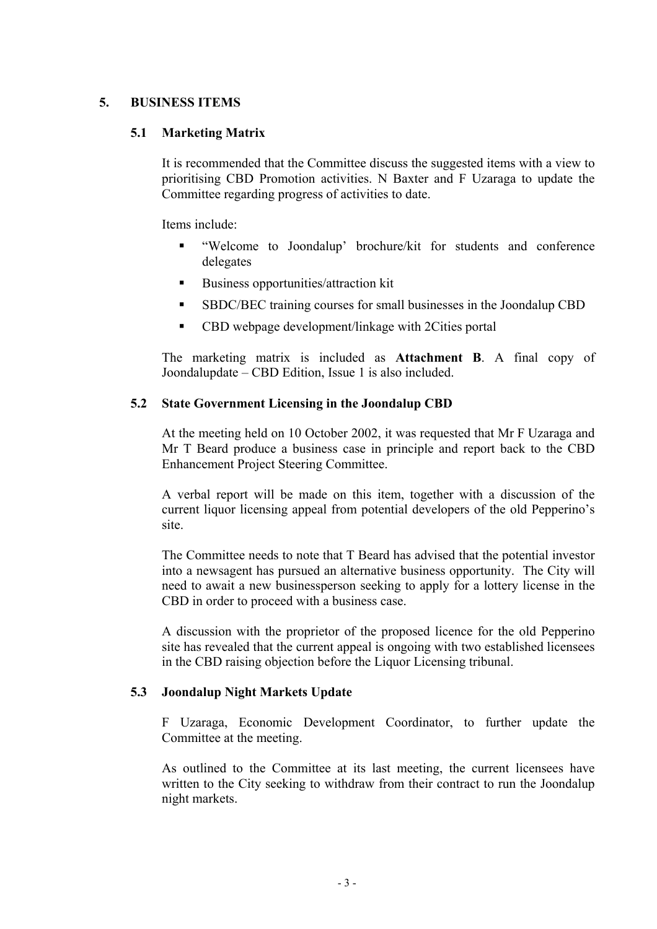## **5. BUSINESS ITEMS**

## **5.1 Marketing Matrix**

It is recommended that the Committee discuss the suggested items with a view to prioritising CBD Promotion activities. N Baxter and F Uzaraga to update the Committee regarding progress of activities to date.

Items include:

- "Welcome to Joondalup' brochure/kit for students and conference delegates
- Business opportunities/attraction kit
- SBDC/BEC training courses for small businesses in the Joondalup CBD
- CBD webpage development/linkage with 2Cities portal

The marketing matrix is included as **Attachment B**. A final copy of Joondalupdate – CBD Edition, Issue 1 is also included.

## **5.2 State Government Licensing in the Joondalup CBD**

At the meeting held on 10 October 2002, it was requested that Mr F Uzaraga and Mr T Beard produce a business case in principle and report back to the CBD Enhancement Project Steering Committee.

A verbal report will be made on this item, together with a discussion of the current liquor licensing appeal from potential developers of the old Pepperino's site.

The Committee needs to note that T Beard has advised that the potential investor into a newsagent has pursued an alternative business opportunity. The City will need to await a new businessperson seeking to apply for a lottery license in the CBD in order to proceed with a business case.

A discussion with the proprietor of the proposed licence for the old Pepperino site has revealed that the current appeal is ongoing with two established licensees in the CBD raising objection before the Liquor Licensing tribunal.

### **5.3 Joondalup Night Markets Update**

F Uzaraga, Economic Development Coordinator, to further update the Committee at the meeting.

As outlined to the Committee at its last meeting, the current licensees have written to the City seeking to withdraw from their contract to run the Joondalup night markets.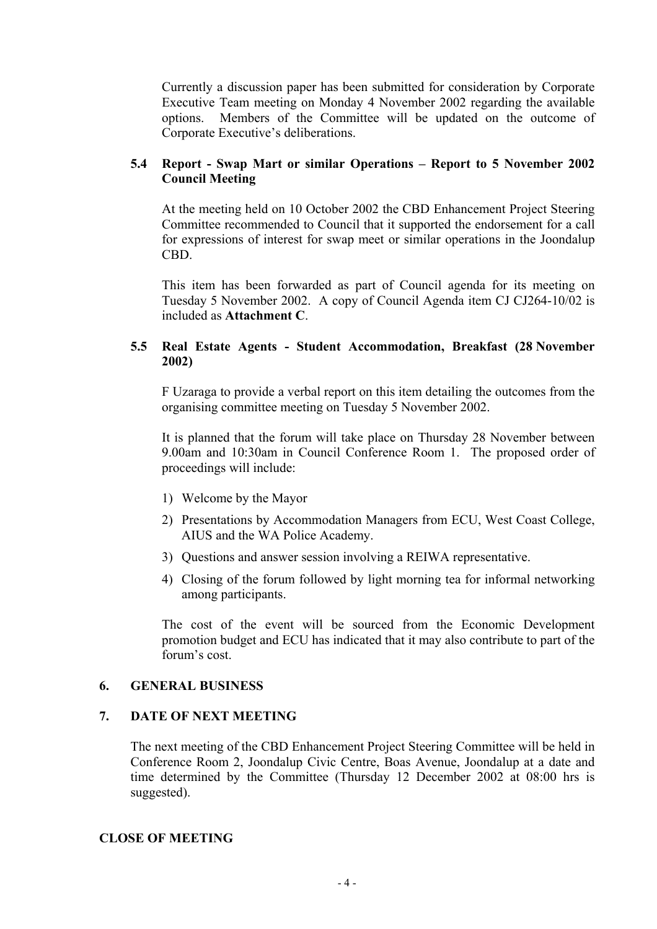Currently a discussion paper has been submitted for consideration by Corporate Executive Team meeting on Monday 4 November 2002 regarding the available options. Members of the Committee will be updated on the outcome of Corporate Executive's deliberations.

## **5.4 Report - Swap Mart or similar Operations – Report to 5 November 2002 Council Meeting**

At the meeting held on 10 October 2002 the CBD Enhancement Project Steering Committee recommended to Council that it supported the endorsement for a call for expressions of interest for swap meet or similar operations in the Joondalup CBD.

This item has been forwarded as part of Council agenda for its meeting on Tuesday 5 November 2002. A copy of Council Agenda item CJ CJ264-10/02 is included as **Attachment C**.

## **5.5 Real Estate Agents - Student Accommodation, Breakfast (28 November 2002)**

F Uzaraga to provide a verbal report on this item detailing the outcomes from the organising committee meeting on Tuesday 5 November 2002.

It is planned that the forum will take place on Thursday 28 November between 9.00am and 10:30am in Council Conference Room 1. The proposed order of proceedings will include:

- 1) Welcome by the Mayor
- 2) Presentations by Accommodation Managers from ECU, West Coast College, AIUS and the WA Police Academy.
- 3) Questions and answer session involving a REIWA representative.
- 4) Closing of the forum followed by light morning tea for informal networking among participants.

The cost of the event will be sourced from the Economic Development promotion budget and ECU has indicated that it may also contribute to part of the forum's cost.

# **6. GENERAL BUSINESS**

### **7. DATE OF NEXT MEETING**

The next meeting of the CBD Enhancement Project Steering Committee will be held in Conference Room 2, Joondalup Civic Centre, Boas Avenue, Joondalup at a date and time determined by the Committee (Thursday 12 December 2002 at 08:00 hrs is suggested).

### **CLOSE OF MEETING**